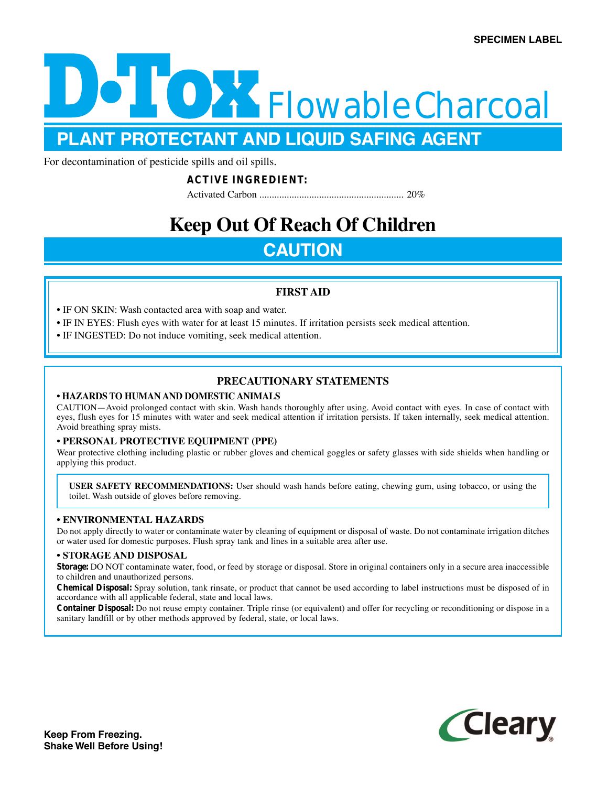

**PLANT PROTECTANT AND LIQUID SAFING AGENT**

For decontamination of pesticide spills and oil spills.

### **ACTIVE INGREDIENT:**

Activated Carbon .......................................................... 20%

# **Keep Out Of Reach Of Children**

## **CAUTION**

### **FIRST AID**

- IF ON SKIN: Wash contacted area with soap and water.
- IF IN EYES: Flush eyes with water for at least 15 minutes. If irritation persists seek medical attention.
- IF INGESTED: Do not induce vomiting, seek medical attention.

### **PRECAUTIONARY STATEMENTS**

### **• HAZARDS TO HUMAN AND DOMESTIC ANIMALS**

CAUTION—Avoid prolonged contact with skin. Wash hands thoroughly after using. Avoid contact with eyes. In case of contact with eyes, flush eyes for 15 minutes with water and seek medical attention if irritation persists. If taken internally, seek medical attention. Avoid breathing spray mists.

### **• PERSONAL PROTECTIVE EQUIPMENT (PPE)**

Wear protective clothing including plastic or rubber gloves and chemical goggles or safety glasses with side shields when handling or applying this product.

**USER SAFETY RECOMMENDATIONS:** User should wash hands before eating, chewing gum, using tobacco, or using the toilet. Wash outside of gloves before removing.

### **• ENVIRONMENTAL HAZARDS**

Do not apply directly to water or contaminate water by cleaning of equipment or disposal of waste. Do not contaminate irrigation ditches or water used for domestic purposes. Flush spray tank and lines in a suitable area after use.

### **• STORAGE AND DISPOSAL**

**Storage:** DO NOT contaminate water, food, or feed by storage or disposal. Store in original containers only in a secure area inaccessible to children and unauthorized persons.

**Chemical Disposal:** Spray solution, tank rinsate, or product that cannot be used according to label instructions must be disposed of in accordance with all applicable federal, state and local laws.

**Container Disposal:** Do not reuse empty container. Triple rinse (or equivalent) and offer for recycling or reconditioning or dispose in a sanitary landfill or by other methods approved by federal, state, or local laws.